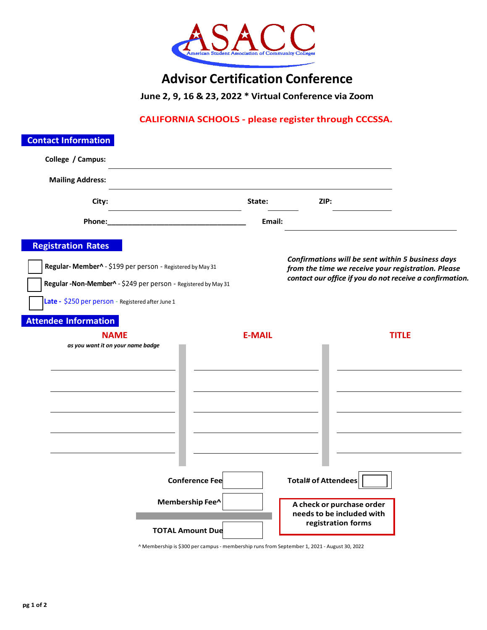

# **Advisor Certification Conference**

**June 2, 9, 16 & 23, 2022 \* Virtual Conference via Zoom**

### **CALIFORNIA SCHOOLS - please register through CCCSSA.**

| <b>Contact Information</b>                                                                                                                                                                                     |                                                                     |               |                                                                                                            |                                                                                                                                                                     |
|----------------------------------------------------------------------------------------------------------------------------------------------------------------------------------------------------------------|---------------------------------------------------------------------|---------------|------------------------------------------------------------------------------------------------------------|---------------------------------------------------------------------------------------------------------------------------------------------------------------------|
| College / Campus:                                                                                                                                                                                              |                                                                     |               |                                                                                                            |                                                                                                                                                                     |
| <b>Mailing Address:</b>                                                                                                                                                                                        |                                                                     |               |                                                                                                            |                                                                                                                                                                     |
| City:                                                                                                                                                                                                          |                                                                     | State:        | ZIP:                                                                                                       |                                                                                                                                                                     |
| Phone:                                                                                                                                                                                                         |                                                                     | Email:        |                                                                                                            |                                                                                                                                                                     |
| <b>Registration Rates</b><br>Regular-Member^ - \$199 per person - Registered by May 31<br>Regular - Non-Member^ - \$249 per person - Registered by May 31<br>Late - \$250 per person - Registered after June 1 |                                                                     |               |                                                                                                            | Confirmations will be sent within 5 business days<br>from the time we receive your registration. Please<br>contact our office if you do not receive a confirmation. |
| <b>Attendee Information</b>                                                                                                                                                                                    |                                                                     |               |                                                                                                            |                                                                                                                                                                     |
| <b>NAME</b><br>as you want it on your name badge                                                                                                                                                               |                                                                     | <b>E-MAIL</b> |                                                                                                            | <b>TITLE</b>                                                                                                                                                        |
|                                                                                                                                                                                                                | <b>Conference Fee</b><br>Membership Fee^<br><b>TOTAL Amount Due</b> |               | <b>Total# of Attendees</b><br>A check or purchase order<br>needs to be included with<br>registration forms |                                                                                                                                                                     |

^ Membership is \$300 per campus- membership runsfrom September 1, 2021 - August 30, 2022